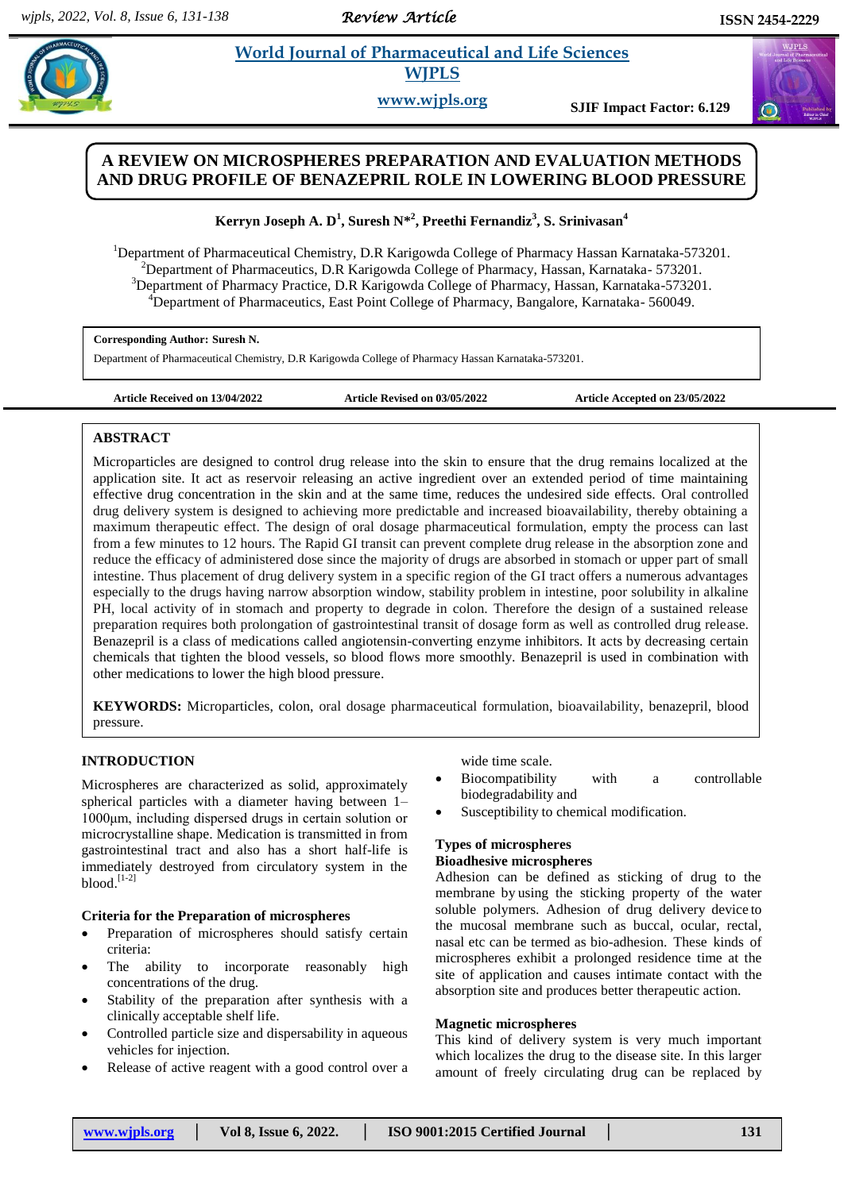*Review Article* 

#### **Suresh** *E**et al. 2011**et al. <b>2013 et al. 2013 et al. 2014 et al. 2014 et al. 2014 et al. 2014 et al. 2014 et al. 2014 et al. 2014 et al. 2014 et al. 2014 et al. 2014 et al. 2014 et al. 2014*  **World Journal of Pharmaceutical and Life Sciences WJPLS**

**www.wjpls.org SJIF Impact Factor: 6.129**

# **A REVIEW ON MICROSPHERES PREPARATION AND EVALUATION METHODS AND DRUG PROFILE OF BENAZEPRIL ROLE IN LOWERING BLOOD PRESSURE**

**Kerryn Joseph A. D<sup>1</sup> , Suresh N\* 2 , Preethi Fernandiz<sup>3</sup> , S. Srinivasan<sup>4</sup>**

<sup>1</sup>Department of Pharmaceutical Chemistry, D.R. Karigowda College of Pharmacy Hassan Karnataka-573201. <sup>2</sup>Department of Pharmaceutics, D.R Karigowda College of Pharmacy, Hassan, Karnataka- 573201. <sup>3</sup>Department of Pharmacy Practice, D.R Karigowda College of Pharmacy, Hassan, Karnataka-573201. <sup>4</sup>Department of Pharmaceutics, East Point College of Pharmacy, Bangalore, Karnataka- 560049.

## **Corresponding Author: Suresh N.**

Department of Pharmaceutical Chemistry, D.R Karigowda College of Pharmacy Hassan Karnataka-573201.

**Article Received on 13/04/2022 Article Revised on 03/05/2022 Article Accepted on 23/05/2022**

# **ABSTRACT**

Microparticles are designed to control drug release into the skin to ensure that the drug remains localized at the application site. It act as reservoir releasing an active ingredient over an extended period of time maintaining effective drug concentration in the skin and at the same time, reduces the undesired side effects. Oral controlled drug delivery system is designed to achieving more predictable and increased bioavailability, thereby obtaining a maximum therapeutic effect. The design of oral dosage pharmaceutical formulation, empty the process can last from a few minutes to 12 hours. The Rapid GI transit can prevent complete drug release in the absorption zone and reduce the efficacy of administered dose since the majority of drugs are absorbed in stomach or upper part of small intestine. Thus placement of drug delivery system in a specific region of the GI tract offers a numerous advantages especially to the drugs having narrow absorption window, stability problem in intestine, poor solubility in alkaline PH, local activity of in stomach and property to degrade in colon. Therefore the design of a sustained release preparation requires both prolongation of gastrointestinal transit of dosage form as well as controlled drug release. Benazepril is a class of medications called angiotensin-converting enzyme inhibitors. It acts by decreasing certain chemicals that tighten the blood vessels, so blood flows more smoothly. Benazepril is used in combination with other medications to lower the high blood pressure.

**KEYWORDS:** Microparticles, colon, oral dosage pharmaceutical formulation, bioavailability, benazepril, blood pressure.

# **INTRODUCTION**

Microspheres are characterized as solid, approximately spherical particles with a diameter having between 1– 1000μm, including dispersed drugs in certain solution or microcrystalline shape. Medication is transmitted in from gastrointestinal tract and also has a short half-life is immediately destroyed from circulatory system in the blood. [1-2]

## **Criteria for the Preparation of microspheres**

- Preparation of microspheres should satisfy certain criteria:
- The ability to incorporate reasonably high concentrations of the drug.
- Stability of the preparation after synthesis with a clinically acceptable shelf life.
- Controlled particle size and dispersability in aqueous vehicles for injection.
- Release of active reagent with a good control over a

wide time scale.

- Biocompatibility with a controllable biodegradability and
- Susceptibility to chemical modification.

# **Types of microspheres**

# **Bioadhesive microspheres**

Adhesion can be defined as sticking of drug to the membrane by using the sticking property of the water soluble polymers. Adhesion of drug delivery device to the mucosal membrane such as buccal, ocular, rectal, nasal etc can be termed as bio-adhesion. These kinds of microspheres exhibit a prolonged residence time at the site of application and causes intimate contact with the absorption site and produces better therapeutic action.

## **Magnetic microspheres**

This kind of delivery system is very much important which localizes the drug to the disease site. In this larger amount of freely circulating drug can be replaced by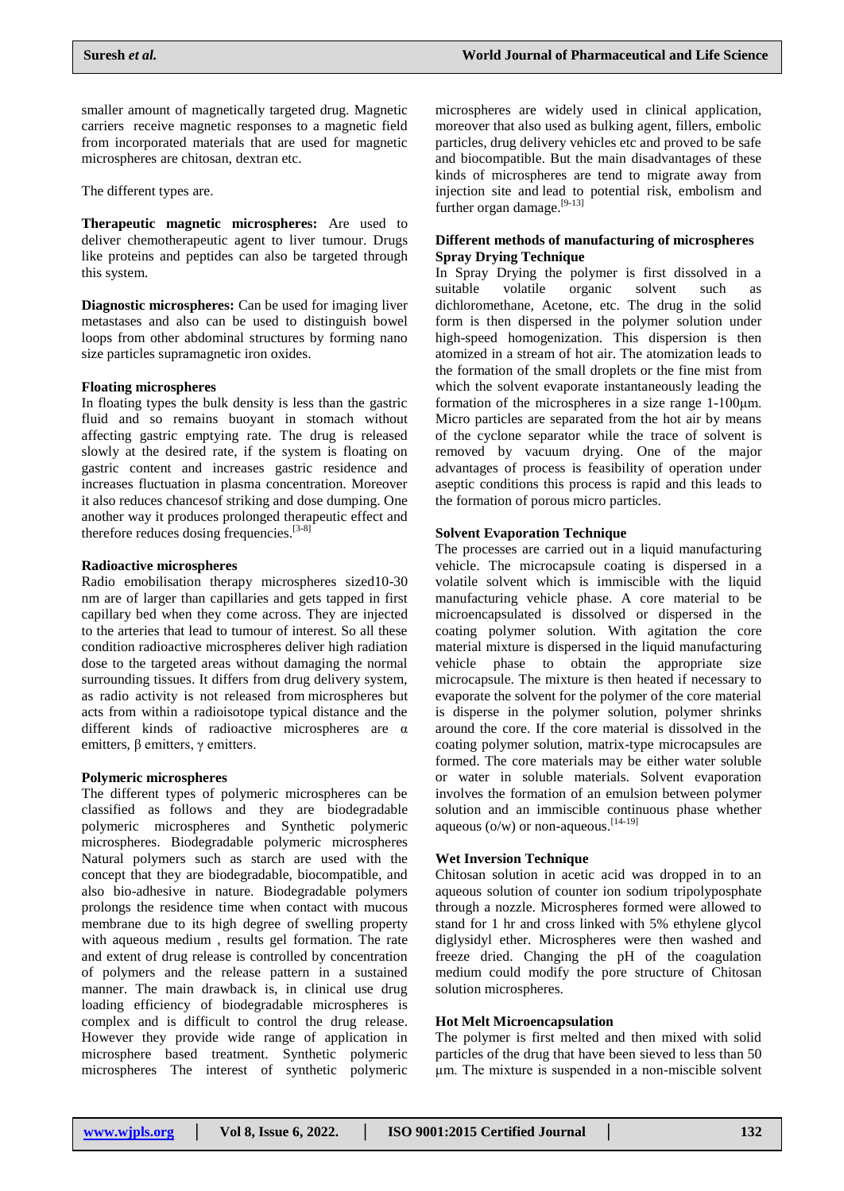smaller amount of magnetically targeted drug. Magnetic carriers receive magnetic responses to a magnetic field from incorporated materials that are used for magnetic microspheres are chitosan, dextran etc.

The different types are.

**Therapeutic magnetic microspheres:** Are used to deliver chemotherapeutic agent to liver tumour. Drugs like proteins and peptides can also be targeted through this system.

**Diagnostic microspheres:** Can be used for imaging liver metastases and also can be used to distinguish bowel loops from other abdominal structures by forming nano size particles supramagnetic iron oxides.

#### **Floating microspheres**

In floating types the bulk density is less than the gastric fluid and so remains buoyant in stomach without affecting gastric emptying rate. The drug is released slowly at the desired rate, if the system is floating on gastric content and increases gastric residence and increases fluctuation in plasma concentration. Moreover it also reduces chancesof striking and dose dumping. One another way it produces prolonged therapeutic effect and therefore reduces dosing frequencies.<sup>[3-8]</sup>

#### **Radioactive microspheres**

Radio emobilisation therapy microspheres sized10-30 nm are of larger than capillaries and gets tapped in first capillary bed when they come across. They are injected to the arteries that lead to tumour of interest. So all these condition radioactive microspheres deliver high radiation dose to the targeted areas without damaging the normal surrounding tissues. It differs from drug delivery system, as radio activity is not released from microspheres but acts from within a radioisotope typical distance and the different kinds of radioactive microspheres are α emitters,  $β$  emitters,  $γ$  emitters.

### **Polymeric microspheres**

The different types of polymeric microspheres can be classified as follows and they are biodegradable polymeric microspheres and Synthetic polymeric microspheres. Biodegradable polymeric microspheres Natural polymers such as starch are used with the concept that they are biodegradable, biocompatible, and also bio-adhesive in nature. Biodegradable polymers prolongs the residence time when contact with mucous membrane due to its high degree of swelling property with aqueous medium , results gel formation. The rate and extent of drug release is controlled by concentration of polymers and the release pattern in a sustained manner. The main drawback is, in clinical use drug loading efficiency of biodegradable microspheres is complex and is difficult to control the drug release. However they provide wide range of application in microsphere based treatment. Synthetic polymeric microspheres The interest of synthetic polymeric

microspheres are widely used in clinical application, moreover that also used as bulking agent, fillers, embolic particles, drug delivery vehicles etc and proved to be safe and biocompatible. But the main disadvantages of these kinds of microspheres are tend to migrate away from injection site and lead to potential risk, embolism and further organ damage.<sup>[9-13]</sup>

### **Different methods of manufacturing of microspheres Spray Drying Technique**

In Spray Drying the polymer is first dissolved in a suitable volatile organic solvent such as dichloromethane, Acetone, etc. The drug in the solid form is then dispersed in the polymer solution under high-speed homogenization. This dispersion is then atomized in a stream of hot air. The atomization leads to the formation of the small droplets or the fine mist from which the solvent evaporate instantaneously leading the formation of the microspheres in a size range 1-100μm. Micro particles are separated from the hot air by means of the cyclone separator while the trace of solvent is removed by vacuum drying. One of the major advantages of process is feasibility of operation under aseptic conditions this process is rapid and this leads to the formation of porous micro particles.

#### **Solvent Evaporation Technique**

The processes are carried out in a liquid manufacturing vehicle. The microcapsule coating is dispersed in a volatile solvent which is immiscible with the liquid manufacturing vehicle phase. A core material to be microencapsulated is dissolved or dispersed in the coating polymer solution. With agitation the core material mixture is dispersed in the liquid manufacturing vehicle phase to obtain the appropriate size microcapsule. The mixture is then heated if necessary to evaporate the solvent for the polymer of the core material is disperse in the polymer solution, polymer shrinks around the core. If the core material is dissolved in the coating polymer solution, matrix-type microcapsules are formed. The core materials may be either water soluble or water in soluble materials. Solvent evaporation involves the formation of an emulsion between polymer solution and an immiscible continuous phase whether aqueous ( $o/w$ ) or non-aqueous.  $[14-19]$ 

# **Wet Inversion Technique**

Chitosan solution in acetic acid was dropped in to an aqueous solution of counter ion sodium tripolyposphate through a nozzle. Microspheres formed were allowed to stand for 1 hr and cross linked with 5% ethylene glycol diglysidyl ether. Microspheres were then washed and freeze dried. Changing the pH of the coagulation medium could modify the pore structure of Chitosan solution microspheres.

#### **Hot Melt Microencapsulation**

The polymer is first melted and then mixed with solid particles of the drug that have been sieved to less than 50 μm. The mixture is suspended in a non-miscible solvent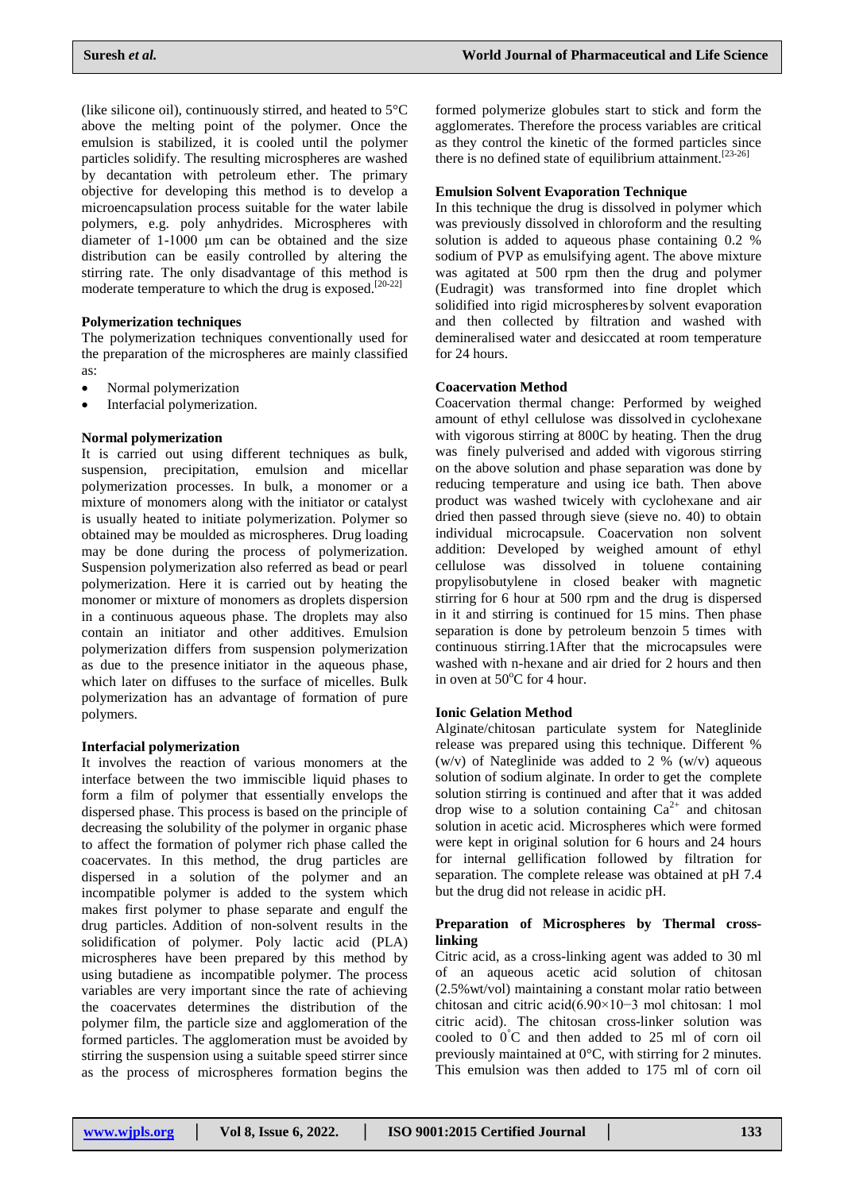(like silicone oil), continuously stirred, and heated to 5°C above the melting point of the polymer. Once the emulsion is stabilized, it is cooled until the polymer particles solidify. The resulting microspheres are washed by decantation with petroleum ether. The primary objective for developing this method is to develop a microencapsulation process suitable for the water labile polymers, e.g. poly anhydrides. Microspheres with diameter of 1-1000 μm can be obtained and the size distribution can be easily controlled by altering the stirring rate. The only disadvantage of this method is moderate temperature to which the drug is exposed.<sup>[20-22]</sup>

## **Polymerization techniques**

The polymerization techniques conventionally used for the preparation of the microspheres are mainly classified as:

- Normal polymerization
- Interfacial polymerization.

### **Normal polymerization**

It is carried out using different techniques as bulk, suspension, precipitation, emulsion and micellar polymerization processes. In bulk, a monomer or a mixture of monomers along with the initiator or catalyst is usually heated to initiate polymerization. Polymer so obtained may be moulded as microspheres. Drug loading may be done during the process of polymerization. Suspension polymerization also referred as bead or pearl polymerization. Here it is carried out by heating the monomer or mixture of monomers as droplets dispersion in a continuous aqueous phase. The droplets may also contain an initiator and other additives. Emulsion polymerization differs from suspension polymerization as due to the presence initiator in the aqueous phase, which later on diffuses to the surface of micelles. Bulk polymerization has an advantage of formation of pure polymers.

### **Interfacial polymerization**

It involves the reaction of various monomers at the interface between the two immiscible liquid phases to form a film of polymer that essentially envelops the dispersed phase. This process is based on the principle of decreasing the solubility of the polymer in organic phase to affect the formation of polymer rich phase called the coacervates. In this method, the drug particles are dispersed in a solution of the polymer and an incompatible polymer is added to the system which makes first polymer to phase separate and engulf the drug particles. Addition of non-solvent results in the solidification of polymer. Poly lactic acid (PLA) microspheres have been prepared by this method by using butadiene as incompatible polymer. The process variables are very important since the rate of achieving the coacervates determines the distribution of the polymer film, the particle size and agglomeration of the formed particles. The agglomeration must be avoided by stirring the suspension using a suitable speed stirrer since as the process of microspheres formation begins the

formed polymerize globules start to stick and form the agglomerates. Therefore the process variables are critical as they control the kinetic of the formed particles since there is no defined state of equilibrium attainment.  $[23-26]$ 

### **Emulsion Solvent Evaporation Technique**

In this technique the drug is dissolved in polymer which was previously dissolved in chloroform and the resulting solution is added to aqueous phase containing 0.2 % sodium of PVP as emulsifying agent. The above mixture was agitated at 500 rpm then the drug and polymer (Eudragit) was transformed into fine droplet which solidified into rigid microspheres by solvent evaporation and then collected by filtration and washed with demineralised water and desiccated at room temperature for 24 hours.

## **Coacervation Method**

Coacervation thermal change: Performed by weighed amount of ethyl cellulose was dissolved in cyclohexane with vigorous stirring at 800C by heating. Then the drug was finely pulverised and added with vigorous stirring on the above solution and phase separation was done by reducing temperature and using ice bath. Then above product was washed twicely with cyclohexane and air dried then passed through sieve (sieve no. 40) to obtain individual microcapsule. Coacervation non solvent addition: Developed by weighed amount of ethyl cellulose was dissolved in toluene containing propylisobutylene in closed beaker with magnetic stirring for 6 hour at 500 rpm and the drug is dispersed in it and stirring is continued for 15 mins. Then phase separation is done by petroleum benzoin 5 times with continuous stirring.1After that the microcapsules were washed with n-hexane and air dried for 2 hours and then in oven at  $50^{\circ}$ C for 4 hour.

## **Ionic Gelation Method**

Alginate/chitosan particulate system for Nateglinide release was prepared using this technique. Different % (w/v) of Nateglinide was added to 2 % (w/v) aqueous solution of sodium alginate. In order to get the complete solution stirring is continued and after that it was added drop wise to a solution containing  $Ca^{2+}$  and chitosan solution in acetic acid. Microspheres which were formed were kept in original solution for 6 hours and 24 hours for internal gellification followed by filtration for separation. The complete release was obtained at pH 7.4 but the drug did not release in acidic pH.

## **Preparation of Microspheres by Thermal crosslinking**

Citric acid, as a cross-linking agent was added to 30 ml of an aqueous acetic acid solution of chitosan (2.5%wt/vol) maintaining a constant molar ratio between chitosan and citric acid(6.90×10−3 mol chitosan: 1 mol citric acid). The chitosan cross-linker solution was cooled to  $0^{\circ}$ C and then added to 25 ml of corn oil previously maintained at 0°C, with stirring for 2 minutes. This emulsion was then added to 175 ml of corn oil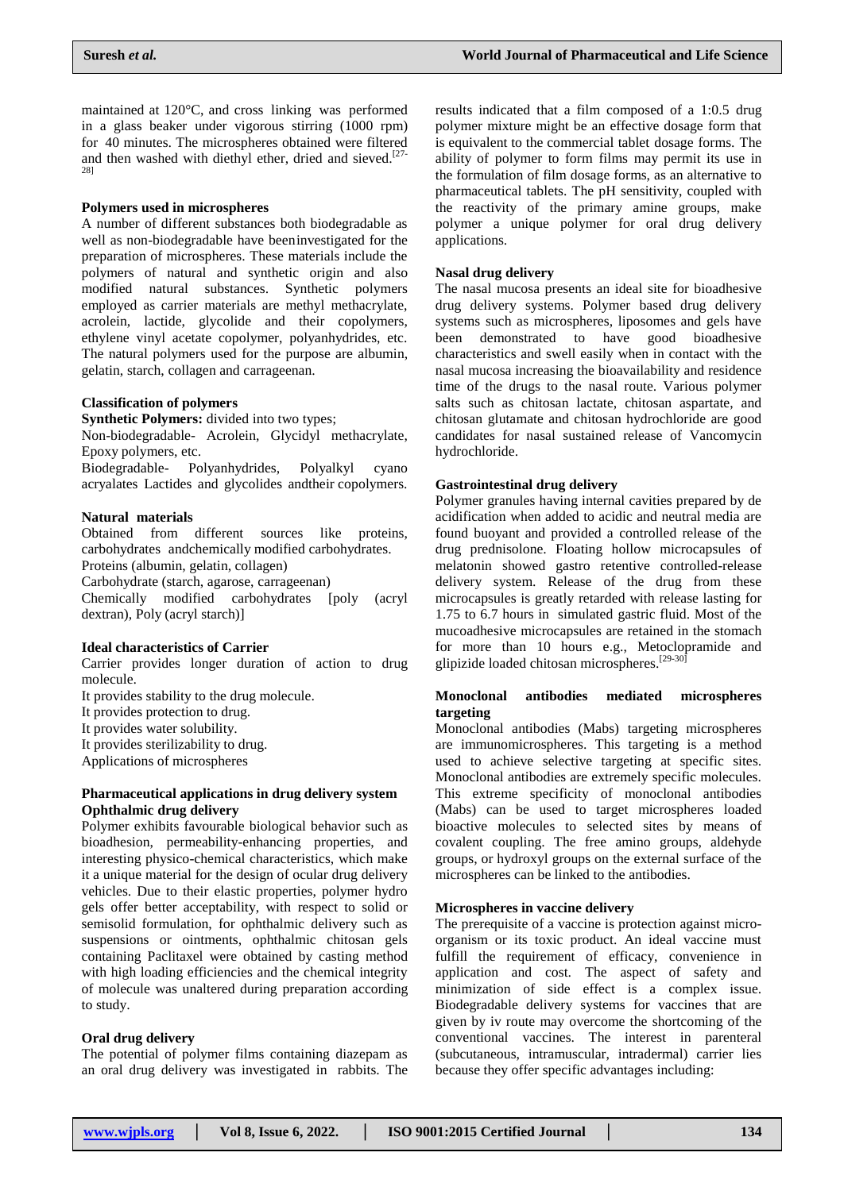maintained at 120°C, and cross linking was performed in a glass beaker under vigorous stirring (1000 rpm) for 40 minutes. The microspheres obtained were filtered and then washed with diethyl ether, dried and sieved.<sup>[27-</sup> 28]

## **Polymers used in microspheres**

A number of different substances both biodegradable as well as non-biodegradable have beeninvestigated for the preparation of microspheres. These materials include the polymers of natural and synthetic origin and also modified natural substances. Synthetic polymers employed as carrier materials are methyl methacrylate, acrolein, lactide, glycolide and their copolymers, ethylene vinyl acetate copolymer, polyanhydrides, etc. The natural polymers used for the purpose are albumin, gelatin, starch, collagen and carrageenan.

## **Classification of polymers**

**Synthetic Polymers:** divided into two types;

Non-biodegradable- Acrolein, Glycidyl methacrylate, Epoxy polymers, etc.

Biodegradable- Polyanhydrides, Polyalkyl cyano acryalates Lactides and glycolides andtheir copolymers.

## **Natural materials**

Obtained from different sources like proteins, carbohydrates andchemically modified carbohydrates. Proteins (albumin, gelatin, collagen)

Carbohydrate (starch, agarose, carrageenan)

Chemically modified carbohydrates [poly (acryl dextran), Poly (acryl starch)]

### **Ideal characteristics of Carrier**

Carrier provides longer duration of action to drug molecule.

It provides stability to the drug molecule.

It provides protection to drug.

It provides water solubility.

It provides sterilizability to drug.

Applications of microspheres

## **Pharmaceutical applications in drug delivery system Ophthalmic drug delivery**

Polymer exhibits favourable biological behavior such as bioadhesion, permeability-enhancing properties, and interesting physico-chemical characteristics, which make it a unique material for the design of ocular drug delivery vehicles. Due to their elastic properties, polymer hydro gels offer better acceptability, with respect to solid or semisolid formulation, for ophthalmic delivery such as suspensions or ointments, ophthalmic chitosan gels containing Paclitaxel were obtained by casting method with high loading efficiencies and the chemical integrity of molecule was unaltered during preparation according to study.

## **Oral drug delivery**

The potential of polymer films containing diazepam as an oral drug delivery was investigated in rabbits. The results indicated that a film composed of a 1:0.5 drug polymer mixture might be an effective dosage form that is equivalent to the commercial tablet dosage forms. The ability of polymer to form films may permit its use in the formulation of film dosage forms, as an alternative to pharmaceutical tablets. The pH sensitivity, coupled with the reactivity of the primary amine groups, make polymer a unique polymer for oral drug delivery applications.

## **Nasal drug delivery**

The nasal mucosa presents an ideal site for bioadhesive drug delivery systems. Polymer based drug delivery systems such as microspheres, liposomes and gels have been demonstrated to have good bioadhesive characteristics and swell easily when in contact with the nasal mucosa increasing the bioavailability and residence time of the drugs to the nasal route. Various polymer salts such as chitosan lactate, chitosan aspartate, and chitosan glutamate and chitosan hydrochloride are good candidates for nasal sustained release of Vancomycin hydrochloride.

## **Gastrointestinal drug delivery**

Polymer granules having internal cavities prepared by de acidification when added to acidic and neutral media are found buoyant and provided a controlled release of the drug prednisolone. Floating hollow microcapsules of melatonin showed gastro retentive controlled-release delivery system. Release of the drug from these microcapsules is greatly retarded with release lasting for 1.75 to 6.7 hours in simulated gastric fluid. Most of the mucoadhesive microcapsules are retained in the stomach for more than 10 hours e.g., Metoclopramide and glipizide loaded chitosan microspheres.<sup>[29-30]</sup>

## **Monoclonal antibodies mediated microspheres targeting**

Monoclonal antibodies (Mabs) targeting microspheres are immunomicrospheres. This targeting is a method used to achieve selective targeting at specific sites. Monoclonal antibodies are extremely specific molecules. This extreme specificity of monoclonal antibodies (Mabs) can be used to target microspheres loaded bioactive molecules to selected sites by means of covalent coupling. The free amino groups, aldehyde groups, or hydroxyl groups on the external surface of the microspheres can be linked to the antibodies.

## **Microspheres in vaccine delivery**

The prerequisite of a vaccine is protection against microorganism or its toxic product. An ideal vaccine must fulfill the requirement of efficacy, convenience in application and cost. The aspect of safety and minimization of side effect is a complex issue. Biodegradable delivery systems for vaccines that are given by iv route may overcome the shortcoming of the conventional vaccines. The interest in parenteral (subcutaneous, intramuscular, intradermal) carrier lies because they offer specific advantages including: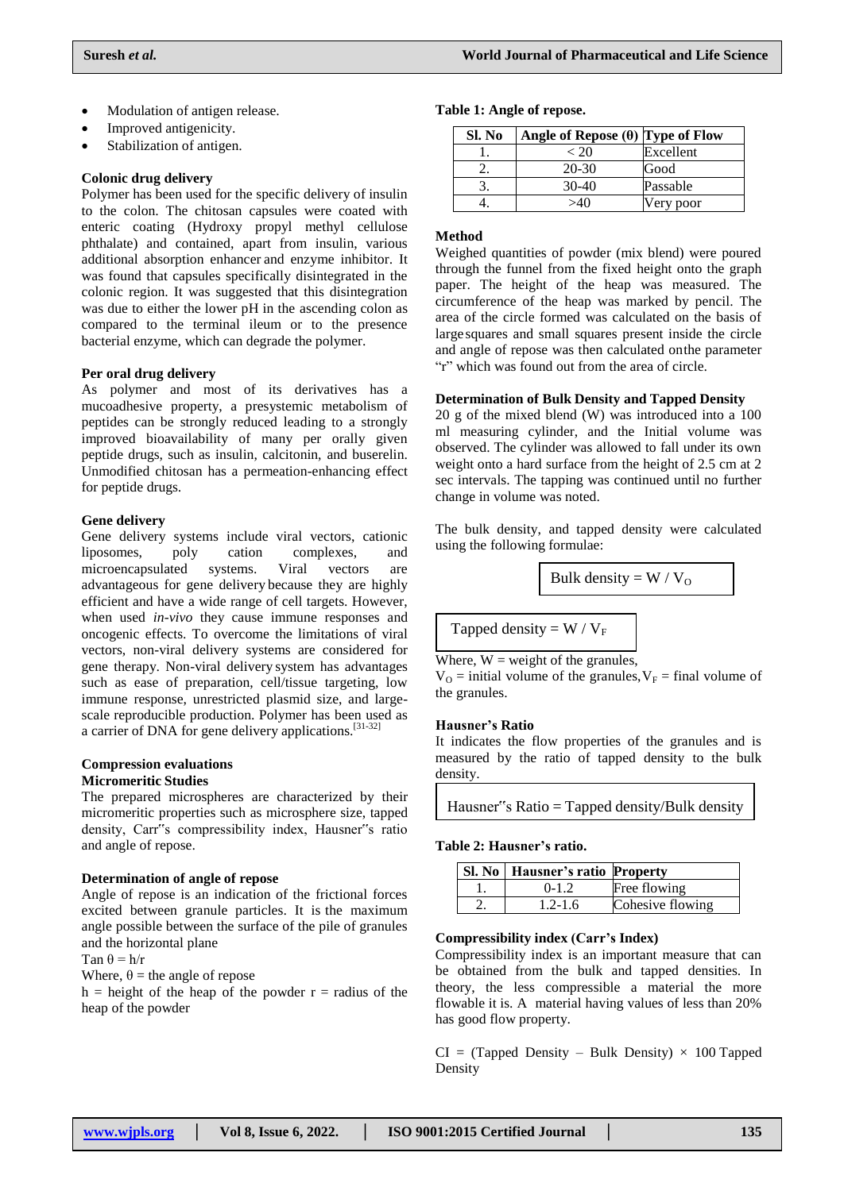- Modulation of antigen release.
- Improved antigenicity.
- Stabilization of antigen.

## **Colonic drug delivery**

Polymer has been used for the specific delivery of insulin to the colon. The chitosan capsules were coated with enteric coating (Hydroxy propyl methyl cellulose phthalate) and contained, apart from insulin, various additional absorption enhancer and enzyme inhibitor. It was found that capsules specifically disintegrated in the colonic region. It was suggested that this disintegration was due to either the lower pH in the ascending colon as compared to the terminal ileum or to the presence bacterial enzyme, which can degrade the polymer.

### **Per oral drug delivery**

As polymer and most of its derivatives has a mucoadhesive property, a presystemic metabolism of peptides can be strongly reduced leading to a strongly improved bioavailability of many per orally given peptide drugs, such as insulin, calcitonin, and buserelin. Unmodified chitosan has a permeation-enhancing effect for peptide drugs.

## **Gene delivery**

Gene delivery systems include viral vectors, cationic liposomes, poly cation complexes, and microencapsulated systems. Viral vectors are advantageous for gene delivery because they are highly efficient and have a wide range of cell targets. However, when used *in-vivo* they cause immune responses and oncogenic effects. To overcome the limitations of viral vectors, non-viral delivery systems are considered for gene therapy. Non-viral delivery system has advantages such as ease of preparation, cell/tissue targeting, low immune response, unrestricted plasmid size, and largescale reproducible production. Polymer has been used as a carrier of DNA for gene delivery applications.<sup>[31-32]</sup>

#### **Compression evaluations Micromeritic Studies**

The prepared microspheres are characterized by their micromeritic properties such as microsphere size, tapped density, Carr"s compressibility index, Hausner"s ratio and angle of repose.

### **Determination of angle of repose**

Angle of repose is an indication of the frictional forces excited between granule particles. It is the maximum angle possible between the surface of the pile of granules and the horizontal plane

$$
Tan \theta = h/r
$$

Where,  $\theta$  = the angle of repose

h = height of the heap of the powder  $r =$  radius of the heap of the powder

## **Table 1: Angle of repose.**

| Sl. No | Angle of Repose $(\theta)$ Type of Flow |           |
|--------|-----------------------------------------|-----------|
|        | < 20                                    | Excellent |
|        | $20-30$                                 | Good      |
|        | $30-40$                                 | Passable  |
|        | 540                                     | Very poor |

## **Method**

Weighed quantities of powder (mix blend) were poured through the funnel from the fixed height onto the graph paper. The height of the heap was measured. The circumference of the heap was marked by pencil. The area of the circle formed was calculated on the basis of large squares and small squares present inside the circle and angle of repose was then calculated onthe parameter "r" which was found out from the area of circle.

### **Determination of Bulk Density and Tapped Density**

20 g of the mixed blend (W) was introduced into a 100 ml measuring cylinder, and the Initial volume was observed. The cylinder was allowed to fall under its own weight onto a hard surface from the height of 2.5 cm at 2 sec intervals. The tapping was continued until no further change in volume was noted.

The bulk density, and tapped density were calculated using the following formulae:

Bulk density = 
$$
W / V_0
$$

Tapped density =  $W / V_F$ 

Where,  $W = weight of the granules$ ,

 $V_{\text{O}}$  = initial volume of the granules,  $V_{\text{F}}$  = final volume of the granules.

### **Hausner's Ratio**

It indicates the flow properties of the granules and is measured by the ratio of tapped density to the bulk density.

Hausner"s Ratio = Tapped density/Bulk density

## **Table 2: Hausner's ratio.**

| Sl. No   Hausner's ratio Property |                  |
|-----------------------------------|------------------|
| $0-1.2$                           | Free flowing     |
| $1.2 - 1.6$                       | Cohesive flowing |

## **Compressibility index (Carr's Index)**

Compressibility index is an important measure that can be obtained from the bulk and tapped densities. In theory, the less compressible a material the more flowable it is. A material having values of less than 20% has good flow property.

 $CI = (Tapped Density - Bulk Density \times 100 Tapped$ Density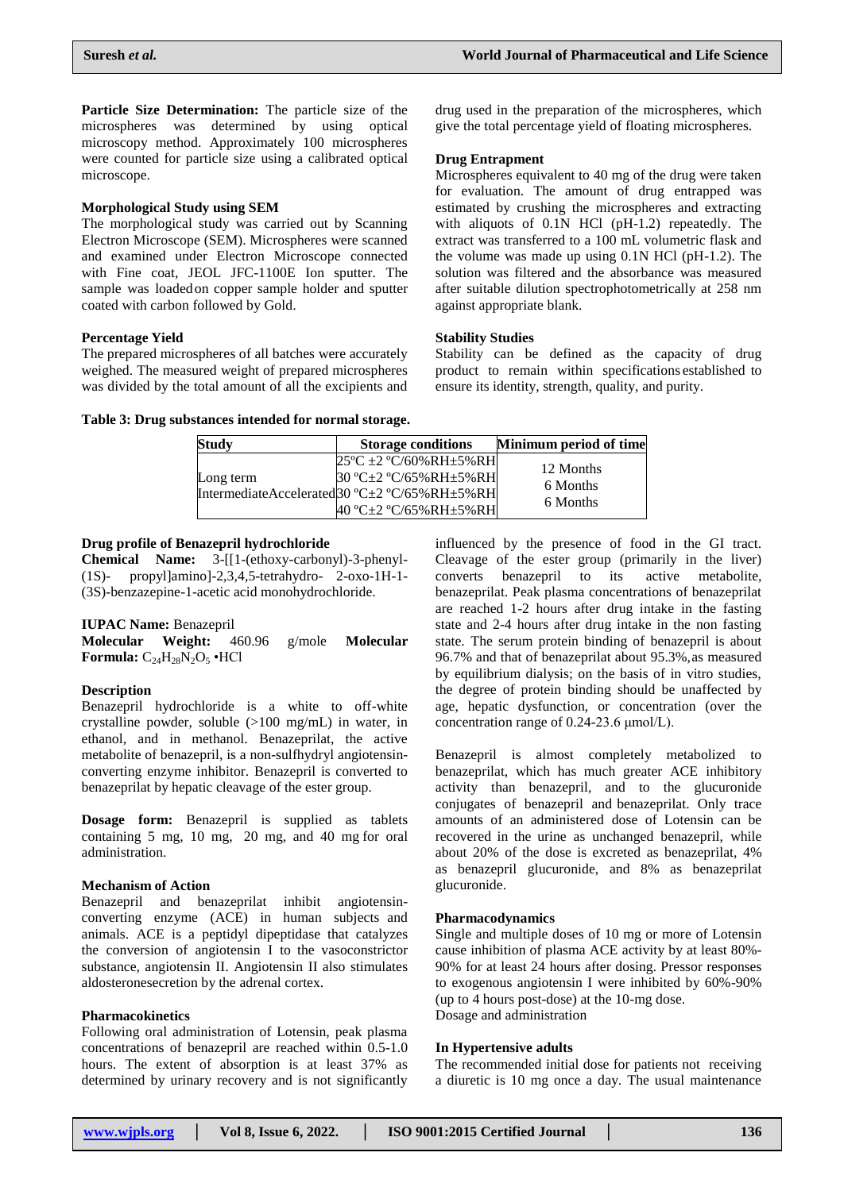**Particle Size Determination:** The particle size of the microspheres was determined by using optical microscopy method. Approximately 100 microspheres were counted for particle size using a calibrated optical microscope.

## **Morphological Study using SEM**

The morphological study was carried out by Scanning Electron Microscope (SEM). Microspheres were scanned and examined under Electron Microscope connected with Fine coat, JEOL JFC-1100E Ion sputter. The sample was loadedon copper sample holder and sputter coated with carbon followed by Gold.

## **Percentage Yield**

The prepared microspheres of all batches were accurately weighed. The measured weight of prepared microspheres was divided by the total amount of all the excipients and drug used in the preparation of the microspheres, which give the total percentage yield of floating microspheres.

## **Drug Entrapment**

Microspheres equivalent to 40 mg of the drug were taken for evaluation. The amount of drug entrapped was estimated by crushing the microspheres and extracting with aliquots of 0.1N HCl (pH-1.2) repeatedly. The extract was transferred to a 100 mL volumetric flask and the volume was made up using 0.1N HCl (pH-1.2). The solution was filtered and the absorbance was measured after suitable dilution spectrophotometrically at 258 nm against appropriate blank.

#### **Stability Studies**

Stability can be defined as the capacity of drug product to remain within specifications established to ensure its identity, strength, quality, and purity.

|  |  |  | Table 3: Drug substances intended for normal storage. |  |  |
|--|--|--|-------------------------------------------------------|--|--|
|  |  |  |                                                       |  |  |

| <b>Study</b> | <b>Storage conditions</b>                                             | Minimum period of time |
|--------------|-----------------------------------------------------------------------|------------------------|
| Long term    | $25^{\circ}$ C ± 2 $^{\circ}$ C/60%RH±5%RH<br>30 °C±2 °C/65%RH±5%RH   | 12 Months<br>6 Months  |
|              | IntermediateAccelerated30 °C±2 °C/65%RH±5%RH<br>40 °C±2 °C/65%RH±5%RH | 6 Months               |

#### **Drug profile of Benazepril hydrochloride**

**Chemical Name:** 3-[[1-(ethoxy-carbonyl)-3-phenyl- (1S)- propyl]amino]-2,3,4,5-tetrahydro- 2-oxo-1H-1- (3S)-benzazepine-1-acetic acid monohydrochloride.

#### **IUPAC Name:** Benazepril

**Molecular Weight:** 460.96 g/mole **Molecular Formula:**  $C_{24}H_{28}N_2O_5$  •HCl

#### **Description**

Benazepril hydrochloride is a white to off-white crystalline powder, soluble (>100 mg/mL) in water, in ethanol, and in methanol. Benazeprilat, the active metabolite of benazepril, is a non-sulfhydryl angiotensinconverting enzyme inhibitor. Benazepril is converted to benazeprilat by hepatic cleavage of the ester group.

**Dosage form:** Benazepril is supplied as tablets containing 5 mg, 10 mg, 20 mg, and 40 mg for oral administration.

#### **Mechanism of Action**

Benazepril and benazeprilat inhibit angiotensinconverting enzyme (ACE) in human subjects and animals. ACE is a peptidyl dipeptidase that catalyzes the conversion of angiotensin I to the vasoconstrictor substance, angiotensin II. Angiotensin II also stimulates aldosteronesecretion by the adrenal cortex.

#### **Pharmacokinetics**

Following oral administration of Lotensin, peak plasma concentrations of benazepril are reached within 0.5-1.0 hours. The extent of absorption is at least 37% as determined by urinary recovery and is not significantly

influenced by the presence of food in the GI tract. Cleavage of the ester group (primarily in the liver) converts benazepril to its active metabolite, benazeprilat. Peak plasma concentrations of benazeprilat are reached 1-2 hours after drug intake in the fasting state and 2-4 hours after drug intake in the non fasting state. The serum protein binding of benazepril is about 96.7% and that of benazeprilat about 95.3%,as measured by equilibrium dialysis; on the basis of in vitro studies, the degree of protein binding should be unaffected by age, hepatic dysfunction, or concentration (over the concentration range of 0.24-23.6 μmol/L).

Benazepril is almost completely metabolized to benazeprilat, which has much greater ACE inhibitory activity than benazepril, and to the glucuronide conjugates of benazepril and benazeprilat. Only trace amounts of an administered dose of Lotensin can be recovered in the urine as unchanged benazepril, while about 20% of the dose is excreted as benazeprilat, 4% as benazepril glucuronide, and 8% as benazeprilat glucuronide.

## **Pharmacodynamics**

Single and multiple doses of 10 mg or more of Lotensin cause inhibition of plasma ACE activity by at least 80%- 90% for at least 24 hours after dosing. Pressor responses to exogenous angiotensin I were inhibited by 60%-90% (up to 4 hours post-dose) at the 10-mg dose. Dosage and administration

#### **In Hypertensive adults**

The recommended initial dose for patients not receiving a diuretic is 10 mg once a day. The usual maintenance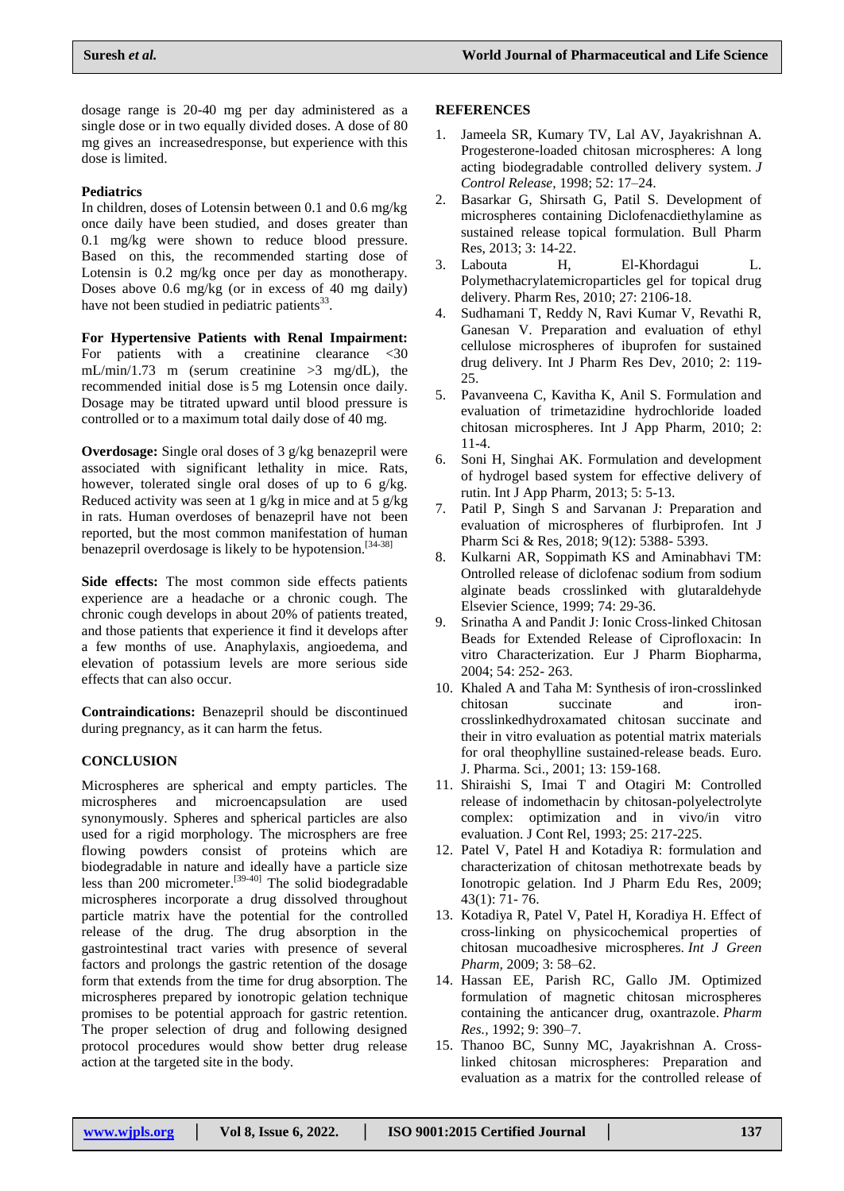dosage range is 20-40 mg per day administered as a single dose or in two equally divided doses. A dose of 80 mg gives an increasedresponse, but experience with this dose is limited.

## **Pediatrics**

In children, doses of Lotensin between 0.1 and 0.6 mg/kg once daily have been studied, and doses greater than 0.1 mg/kg were shown to reduce blood pressure. Based on this, the recommended starting dose of Lotensin is 0.2 mg/kg once per day as monotherapy. Doses above 0.6 mg/kg (or in excess of 40 mg daily) have not been studied in pediatric patients<sup>33</sup>.

**For Hypertensive Patients with Renal Impairment:** For patients with a creatinine clearance <30 mL/min/1.73 m (serum creatinine >3 mg/dL), the recommended initial dose is 5 mg Lotensin once daily. Dosage may be titrated upward until blood pressure is controlled or to a maximum total daily dose of 40 mg.

**Overdosage:** Single oral doses of 3 g/kg benazepril were associated with significant lethality in mice. Rats, however, tolerated single oral doses of up to 6 g/kg. Reduced activity was seen at 1 g/kg in mice and at 5 g/kg in rats. Human overdoses of benazepril have not been reported, but the most common manifestation of human benazepril overdosage is likely to be hypotension.<sup>[34-38]</sup>

**Side effects:** The most common side effects patients experience are a headache or a chronic cough. The chronic cough develops in about 20% of patients treated, and those patients that experience it find it develops after a few months of use. Anaphylaxis, angioedema, and elevation of potassium levels are more serious side effects that can also occur.

**Contraindications:** Benazepril should be discontinued during pregnancy, as it can harm the fetus.

### **CONCLUSION**

Microspheres are spherical and empty particles. The microspheres and microencapsulation are used synonymously. Spheres and spherical particles are also used for a rigid morphology. The microsphers are free flowing powders consist of proteins which are biodegradable in nature and ideally have a particle size less than 200 micrometer.<sup>[39-40]</sup> The solid biodegradable microspheres incorporate a drug dissolved throughout particle matrix have the potential for the controlled release of the drug. The drug absorption in the gastrointestinal tract varies with presence of several factors and prolongs the gastric retention of the dosage form that extends from the time for drug absorption. The microspheres prepared by ionotropic gelation technique promises to be potential approach for gastric retention. The proper selection of drug and following designed protocol procedures would show better drug release action at the targeted site in the body.

### **REFERENCES**

- 1. Jameela SR, Kumary TV, Lal AV, Jayakrishnan A. Progesterone-loaded chitosan microspheres: A long acting biodegradable controlled delivery system. *J Control Release,* 1998; 52: 17–24.
- 2. Basarkar G, Shirsath G, Patil S. Development of microspheres containing Diclofenacdiethylamine as sustained release topical formulation. Bull Pharm Res, 2013; 3: 14-22.
- 3. Labouta H, El-Khordagui L. Polymethacrylatemicroparticles gel for topical drug delivery. Pharm Res, 2010; 27: 2106-18.
- 4. Sudhamani T, Reddy N, Ravi Kumar V, Revathi R, Ganesan V. Preparation and evaluation of ethyl cellulose microspheres of ibuprofen for sustained drug delivery. Int J Pharm Res Dev, 2010; 2: 119- 25.
- 5. Pavanveena C, Kavitha K, Anil S. Formulation and evaluation of trimetazidine hydrochloride loaded chitosan microspheres. Int J App Pharm, 2010; 2: 11-4.
- 6. Soni H, Singhai AK. Formulation and development of hydrogel based system for effective delivery of rutin. Int J App Pharm, 2013; 5: 5-13.
- 7. Patil P, Singh S and Sarvanan J: Preparation and evaluation of microspheres of flurbiprofen. Int J Pharm Sci & Res, 2018; 9(12): 5388- 5393.
- 8. Kulkarni AR, Soppimath KS and Aminabhavi TM: Ontrolled release of diclofenac sodium from sodium alginate beads crosslinked with glutaraldehyde Elsevier Science, 1999; 74: 29-36.
- 9. Srinatha A and Pandit J: Ionic Cross-linked Chitosan Beads for Extended Release of Ciprofloxacin: In vitro Characterization. Eur J Pharm Biopharma, 2004; 54: 252- 263.
- 10. Khaled A and Taha M: Synthesis of iron-crosslinked chitosan succinate and ironcrosslinkedhydroxamated chitosan succinate and their in vitro evaluation as potential matrix materials for oral theophylline sustained-release beads. Euro. J. Pharma. Sci., 2001; 13: 159-168.
- 11. Shiraishi S, Imai T and Otagiri M: Controlled release of indomethacin by chitosan-polyelectrolyte complex: optimization and in vivo/in vitro evaluation. J Cont Rel, 1993; 25: 217-225.
- 12. Patel V, Patel H and Kotadiya R: formulation and characterization of chitosan methotrexate beads by Ionotropic gelation. Ind J Pharm Edu Res, 2009; 43(1): 71- 76.
- 13. Kotadiya R, Patel V, Patel H, Koradiya H. Effect of cross-linking on physicochemical properties of chitosan mucoadhesive microspheres. *Int J Green Pharm,* 2009; 3: 58–62.
- 14. Hassan EE, Parish RC, Gallo JM. Optimized formulation of magnetic chitosan microspheres containing the anticancer drug, oxantrazole. *Pharm Res.,* 1992; 9: 390–7.
- 15. Thanoo BC, Sunny MC, Jayakrishnan A. Crosslinked chitosan microspheres: Preparation and evaluation as a matrix for the controlled release of